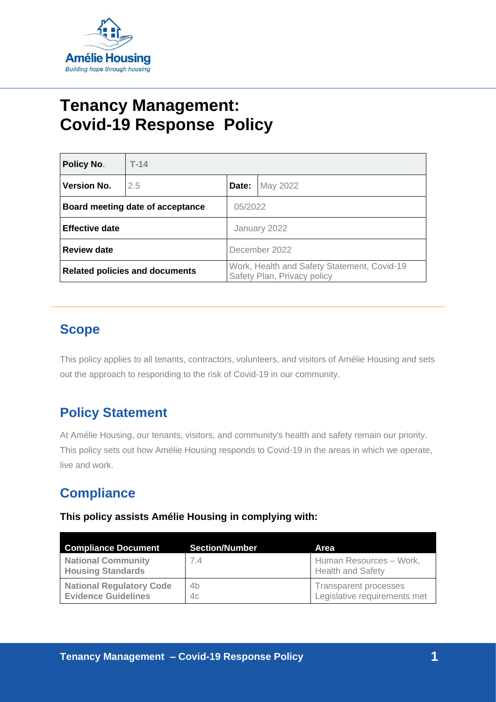

# **Tenancy Management: Covid-19 Response Policy**

| <b>Policy No.</b>                     | $T-14$ |                                                                            |          |  |
|---------------------------------------|--------|----------------------------------------------------------------------------|----------|--|
| <b>Version No.</b>                    | 2.5    | Date:                                                                      | May 2022 |  |
| Board meeting date of acceptance      |        |                                                                            | 05/2022  |  |
| <b>Effective date</b>                 |        | January 2022                                                               |          |  |
| <b>Review date</b>                    |        | December 2022                                                              |          |  |
| <b>Related policies and documents</b> |        | Work, Health and Safety Statement, Covid-19<br>Safety Plan, Privacy policy |          |  |

### **Scope**

This policy applies to all tenants, contractors, volunteers, and visitors of Amélie Housing and sets out the approach to responding to the risk of Covid-19 in our community.

### **Policy Statement**

At Amélie Housing, our tenants, visitors, and community's health and safety remain our priority. This policy sets out how Amélie Housing responds to Covid-19 in the areas in which we operate, live and work.

### **Compliance**

**This policy assists Amélie Housing in complying with:**

| <b>Compliance Document</b>                                    | <b>Section/Number</b> | Area                                                         |
|---------------------------------------------------------------|-----------------------|--------------------------------------------------------------|
| <b>National Community</b><br><b>Housing Standards</b>         | 7.4                   | Human Resources - Work,<br><b>Health and Safety</b>          |
| <b>National Regulatory Code</b><br><b>Evidence Guidelines</b> | 4b<br>4c              | <b>Transparent processes</b><br>Legislative requirements met |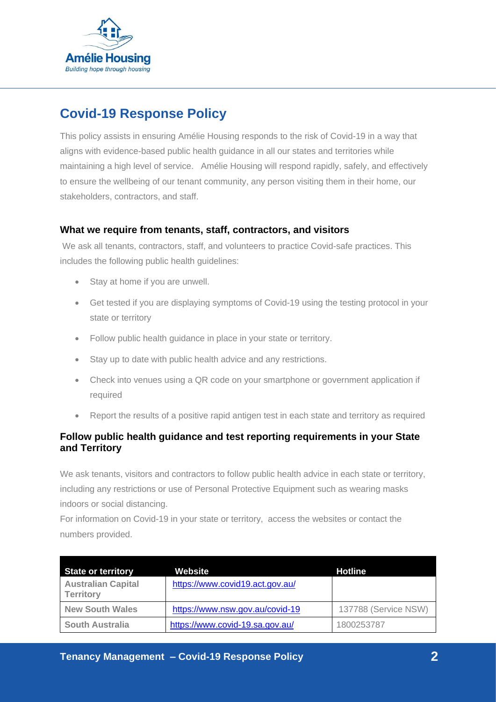

## **Covid-19 Response Policy**

This policy assists in ensuring Amélie Housing responds to the risk of Covid-19 in a way that aligns with evidence-based public health guidance in all our states and territories while maintaining a high level of service. Amélie Housing will respond rapidly, safely, and effectively to ensure the wellbeing of our tenant community, any person visiting them in their home, our stakeholders, contractors, and staff.

#### **What we require from tenants, staff, contractors, and visitors**

We ask all tenants, contractors, staff, and volunteers to practice Covid-safe practices. This includes the following public health guidelines:

- Stay at home if you are unwell.
- Get tested if you are displaying symptoms of Covid-19 using the testing protocol in your state or territory
- Follow public health guidance in place in your state or territory.
- Stay up to date with public health advice and any restrictions.
- Check into venues using a QR code on your smartphone or government application if required
- Report the results of a positive rapid antigen test in each state and territory as required

### **Follow public health guidance and test reporting requirements in your State and Territory**

We ask tenants, visitors and contractors to follow public health advice in each state or territory, including any restrictions or use of Personal Protective Equipment such as wearing masks indoors or social distancing.

For information on Covid-19 in your state or territory, access the websites or contact the numbers provided.

| <b>State or territory</b>                     | Website                         | <b>Hotline</b>       |
|-----------------------------------------------|---------------------------------|----------------------|
| <b>Australian Capital</b><br><b>Territory</b> | https://www.covid19.act.gov.au/ |                      |
| <b>New South Wales</b>                        | https://www.nsw.gov.au/covid-19 | 137788 (Service NSW) |
| <b>South Australia</b>                        | https://www.covid-19.sa.gov.au/ | 1800253787           |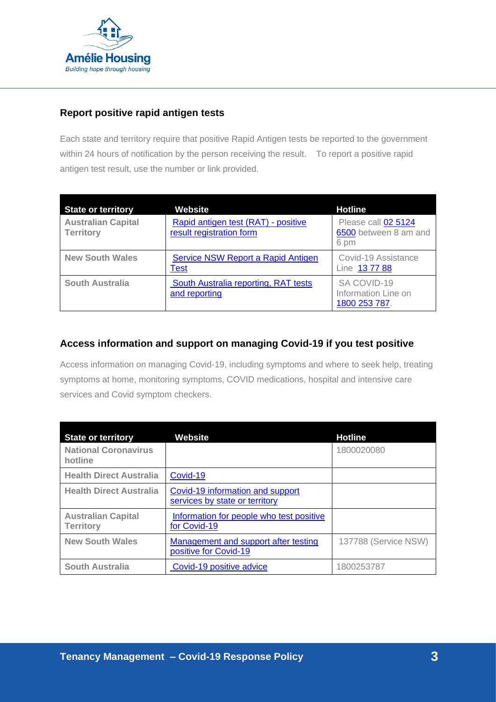

### **Report positive rapid antigen tests**

Each state and territory require that positive Rapid Antigen tests be reported to the government within 24 hours of notification by the person receiving the result. To report a positive rapid antigen test result, use the number or link provided.

| <b>State or territory</b>                     | <b>Website</b>                                                  | <b>Hotline</b>                                       |
|-----------------------------------------------|-----------------------------------------------------------------|------------------------------------------------------|
| <b>Australian Capital</b><br><b>Territory</b> | Rapid antigen test (RAT) - positive<br>result registration form | Please call 02 5124<br>6500 between 8 am and<br>6 pm |
| <b>New South Wales</b>                        | Service NSW Report a Rapid Antigen<br>Test                      | Covid-19 Assistance<br>Line 137788                   |
| <b>South Australia</b>                        | South Australia reporting, RAT tests<br>and reporting           | SA COVID-19<br>Information Line on<br>1800 253 787.  |

#### **Access information and support on managing Covid-19 if you test positive**

Access information on managing Covid-19, including symptoms and where to seek help, treating symptoms at home, monitoring symptoms, COVID medications, hospital and intensive care services and Covid symptom checkers.

| <b>State or territory</b>                     | <b>Website</b>                                                     | <b>Hotline</b>       |
|-----------------------------------------------|--------------------------------------------------------------------|----------------------|
| <b>National Coronavirus</b><br>hotline        |                                                                    | 1800020080           |
| <b>Health Direct Australia</b>                | Covid-19                                                           |                      |
| <b>Health Direct Australia</b>                | Covid-19 information and support<br>services by state or territory |                      |
| <b>Australian Capital</b><br><b>Territory</b> | Information for people who test positive<br>for Covid-19           |                      |
| <b>New South Wales</b>                        | Management and support after testing<br>positive for Covid-19      | 137788 (Service NSW) |
| <b>South Australia</b>                        | Covid-19 positive advice                                           | 1800253787           |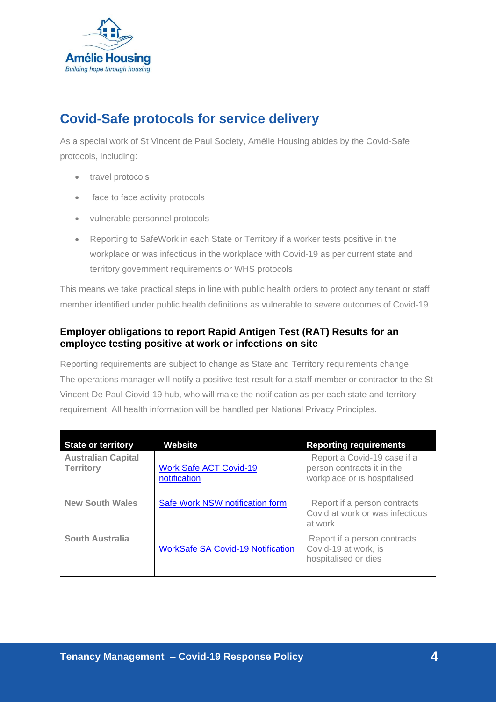

### **Covid-Safe protocols for service delivery**

As a special work of St Vincent de Paul Society, Amélie Housing abides by the Covid-Safe protocols, including:

- travel protocols
- face to face activity protocols
- vulnerable personnel protocols
- Reporting to SafeWork in each State or Territory if a worker tests positive in the workplace or was infectious in the workplace with Covid-19 as per current state and territory government requirements or WHS protocols

This means we take practical steps in line with public health orders to protect any tenant or staff member identified under public health definitions as vulnerable to severe outcomes of Covid-19.

### **Employer obligations to report Rapid Antigen Test (RAT) Results for an employee testing positive at work or infections on site**

Reporting requirements are subject to change as State and Territory requirements change. The operations manager will notify a positive test result for a staff member or contractor to the St Vincent De Paul Ciovid-19 hub, who will make the notification as per each state and territory requirement. All health information will be handled per National Privacy Principles.

| <b>State or territory</b>                     | <b>Website</b>                                | <b>Reporting requirements</b>                                                             |
|-----------------------------------------------|-----------------------------------------------|-------------------------------------------------------------------------------------------|
| <b>Australian Capital</b><br><b>Territory</b> | <b>Work Safe ACT Covid-19</b><br>notification | Report a Covid-19 case if a<br>person contracts it in the<br>workplace or is hospitalised |
| <b>New South Wales</b>                        | Safe Work NSW notification form               | Report if a person contracts<br>Covid at work or was infectious<br>at work                |
| South Australia                               | <b>WorkSafe SA Covid-19 Notification</b>      | Report if a person contracts<br>Covid-19 at work, is<br>hospitalised or dies              |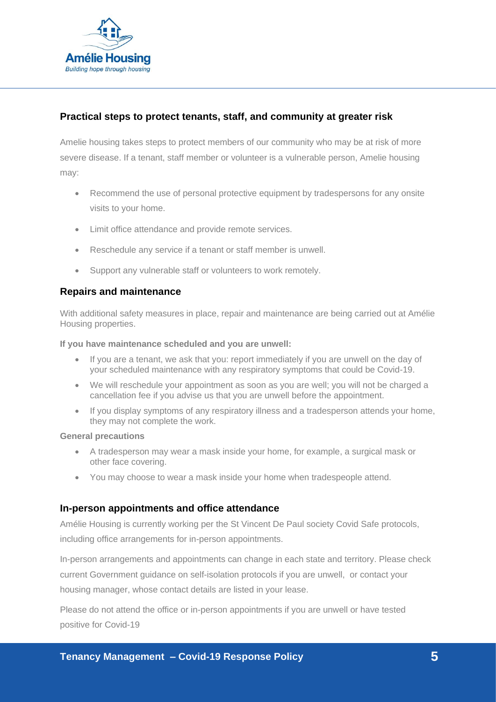

### **Practical steps to protect tenants, staff, and community at greater risk**

Amelie housing takes steps to protect members of our community who may be at risk of more severe disease. If a tenant, staff member or volunteer is a vulnerable person, Amelie housing may:

- Recommend the use of personal protective equipment by tradespersons for any onsite visits to your home.
- Limit office attendance and provide remote services.
- Reschedule any service if a tenant or staff member is unwell.
- Support any vulnerable staff or volunteers to work remotely.

#### **Repairs and maintenance**

With additional safety measures in place, repair and maintenance are being carried out at Amélie Housing properties.

**If you have maintenance scheduled and you are unwell:** 

- If you are a tenant, we ask that you: report immediately if you are unwell on the day of your scheduled maintenance with any respiratory symptoms that could be Covid-19.
- We will reschedule your appointment as soon as you are well; you will not be charged a cancellation fee if you advise us that you are unwell before the appointment.
- If you display symptoms of any respiratory illness and a tradesperson attends your home, they may not complete the work.

#### **General precautions**

- A tradesperson may wear a mask inside your home, for example, a surgical mask or other face covering.
- You may choose to wear a mask inside your home when tradespeople attend.

#### **In-person appointments and office attendance**

Amélie Housing is currently working per the St Vincent De Paul society Covid Safe protocols, including office arrangements for in-person appointments.

In-person arrangements and appointments can change in each state and territory. Please check current Government guidance on self-isolation protocols if you are unwell, or contact your housing manager, whose contact details are listed in your lease.

Please do not attend the office or in-person appointments if you are unwell or have tested positive for Covid-19